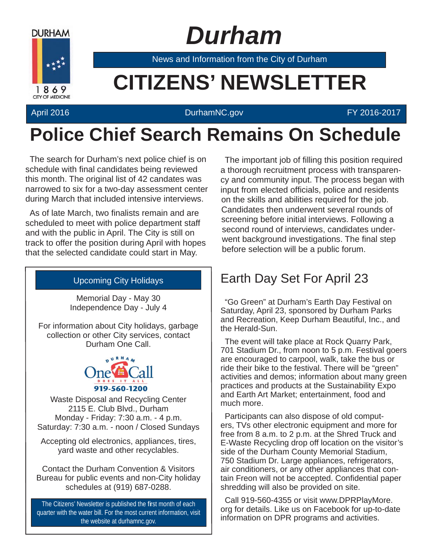

## *Durham*

News and Information from the City of Durham

# **Example 20 CITIZENS' NEWSLETTER**

#### April 2016 **DurhamNC.gov CONSULARY 2016-2017**

### **Police Chief Search Remains On Schedule**

The search for Durham's next police chief is on schedule with final candidates being reviewed this month. The original list of 42 candates was narrowed to six for a two-day assessment center during March that included intensive interviews.

As of late March, two finalists remain and are scheduled to meet with police department staff and with the public in April. The City is still on track to offer the position during April with hopes that the selected candidate could start in May.

#### Upcoming City Holidays

Memorial Day - May 30 Independence Day - July 4

For information about City holidays, garbage collection or other City services, contact Durham One Call.



Waste Disposal and Recycling Center 2115 E. Club Blvd., Durham Monday - Friday: 7:30 a.m. - 4 p.m. Saturday: 7:30 a.m. - noon / Closed Sundays

Accepting old electronics, appliances, tires, yard waste and other recyclables.

Contact the Durham Convention & Visitors Bureau for public events and non-City holiday schedules at (919) 687-0288.

The Citizens' Newsletter is published the first month of each quarter with the water bill. For the most current information, visit the website at durhamnc.gov.

The important job of filling this position required a thorough recruitment process with transparency and community input. The process began with input from elected officials, police and residents on the skills and abilities required for the job. Candidates then underwent several rounds of screening before initial interviews. Following a second round of interviews, candidates underwent background investigations. The final step before selection will be a public forum.

### Earth Day Set For April 23

"Go Green" at Durham's Earth Day Festival on Saturday, April 23, sponsored by Durham Parks and Recreation, Keep Durham Beautiful, Inc., and the Herald-Sun.

The event will take place at Rock Quarry Park, 701 Stadium Dr., from noon to 5 p.m. Festival goers are encouraged to carpool, walk, take the bus or ride their bike to the festival. There will be "green" activities and demos; information about many green practices and products at the Sustainability Expo and Earth Art Market; entertainment, food and much more.

Participants can also dispose of old computers, TVs other electronic equipment and more for free from 8 a.m. to 2 p.m. at the Shred Truck and E-Waste Recycling drop off location on the visitor's side of the Durham County Memorial Stadium, 750 Stadium Dr. Large appliances, refrigerators, air conditioners, or any other appliances that contain Freon will not be accepted. Confidential paper shredding will also be provided on site.

Call 919-560-4355 or visit www.DPRPlayMore. org for details. Like us on Facebook for up-to-date information on DPR programs and activities.